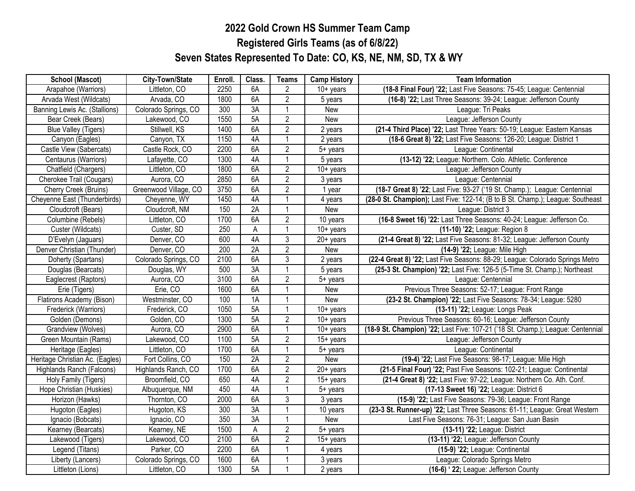## **2022 Gold Crown HS Summer Team Camp Registered Girls Teams (as of 6/8/22) Seven States Represented To Date: CO, KS, NE, NM, SD, TX & WY**

| <b>School (Mascot)</b>          | City-Town/State       | Enroll. | Class.          | <b>Teams</b>   | <b>Camp History</b>     | <b>Team Information</b>                                                         |
|---------------------------------|-----------------------|---------|-----------------|----------------|-------------------------|---------------------------------------------------------------------------------|
| Arapahoe (Warriors)             | Littleton, CO         | 2250    | 6A              | $\overline{2}$ | $10+$ years             | (18-8 Final Four) '22; Last Five Seasons: 75-45; League: Centennial             |
| Arvada West (Wildcats)          | Arvada, CO            | 1800    | 6A              | $\overline{2}$ | 5 years                 | (16-8) '22; Last Three Seasons: 39-24; League: Jefferson County                 |
| Banning Lewis Ac. (Stallions)   | Colorado Springs, CO  | 300     | 3A              | $\overline{1}$ | New                     | League: Tri Peaks                                                               |
| Bear Creek (Bears)              | Lakewood, CO          | 1550    | 5A              | $\overline{2}$ | New                     | League: Jefferson County                                                        |
| <b>Blue Valley (Tigers)</b>     | Stillwell, KS         | 1400    | 6A              | $\overline{2}$ | 2 years                 | (21-4 Third Place) '22; Last Three Years: 50-19; League: Eastern Kansas         |
| Canyon (Eagles)                 | Canyon, TX            | 1150    | 4A              |                | 2 years                 | (18-6 Great 8) '22; Last Five Seasons: 126-20; League: District 1               |
| Castle View (Sabercats)         | Castle Rock, CO       | 2200    | 6A              | $\overline{2}$ | 5+ years                | League: Continental                                                             |
| Centaurus (Warriors)            | Lafayette, CO         | 1300    | 4A              | $\overline{1}$ | 5 years                 | (13-12) '22; League: Northern. Colo. Athletic. Conference                       |
| Chatfield (Chargers)            | Littleton, CO         | 1800    | 6A              | $\overline{2}$ | $\overline{10}$ + years | League: Jefferson County                                                        |
| Cherokee Trail (Cougars)        | Aurora, CO            | 2850    | 6A              | $\overline{2}$ | 3 years                 | League: Centennial                                                              |
| Cherry Creek (Bruins)           | Greenwood Village, CO | 3750    | 6A              | $\sqrt{2}$     | 1 year                  | (18-7 Great 8) '22; Last Five: 93-27 ('19 St. Champ.); League: Centennial       |
| Cheyenne East (Thunderbirds)    | Cheyenne, WY          | 1450    | 4A              | $\overline{1}$ | 4 years                 | (28-0 St. Champion); Last Five: 122-14; (B to B St. Champ.); League: Southeast  |
| Cloudcroft (Bears)              | Cloudcroft, NM        | 150     | 2A              |                | New                     | League: District 3                                                              |
| Columbine (Rebels)              | Littleton, CO         | 1700    | 6A              | $\overline{2}$ | 10 years                | (16-8 Sweet 16) '22: Last Three Seasons: 40-24; League: Jefferson Co.           |
| Custer (Wildcats)               | Custer, SD            | 250     | A               |                | $\overline{10}$ + years | (11-10) '22; League: Region 8                                                   |
| D'Evelyn (Jaguars)              | Denver, CO            | 600     | 4A              | $\overline{3}$ | $20+$ years             | (21-4 Great 8) '22; Last Five Seasons: 81-32; League: Jefferson County          |
| Denver Christian (Thunder)      | Denver, CO            | 200     | 2A              | $\overline{2}$ | New                     | (14-9) '22; League: Mile High                                                   |
| Doherty (Spartans)              | Colorado Springs, CO  | 2100    | 6A              | 3              | 2 years                 | (22-4 Great 8) '22; Last Five Seasons: 88-29; League: Colorado Springs Metro    |
| Douglas (Bearcats)              | Douglas, WY           | 500     | $\overline{3A}$ |                | 5 years                 | (25-3 St. Champion) '22; Last Five: 126-5 (5-Time St. Champ.); Northeast        |
| Eaglecrest (Raptors)            | Aurora, CO            | 3100    | 6A              | $\overline{2}$ | 5+ years                | League: Centennial                                                              |
| Erie (Tigers)                   | Erie, CO              | 1600    | 6A              | 1              | New                     | Previous Three Seasons: 52-17; League: Front Range                              |
| Flatirons Academy (Bison)       | Westminster, CO       | 100     | 1A              | 1              | New                     | (23-2 St. Champion) '22; Last Five Seasons: 78-34; League: 5280                 |
| Frederick (Warriors)            | Frederick, CO         | 1050    | 5A              | $\overline{1}$ | $10+$ years             | (13-11) '22; League: Longs Peak                                                 |
| Golden (Demons)                 | Golden, CO            | 1300    | 5A              | $\overline{2}$ | $10+$ years             | Previous Three Seasons: 60-16; League: Jefferson County                         |
| Grandview (Wolves)              | Aurora, CO            | 2900    | 6A              | $\overline{1}$ | $\overline{10}$ + years | (18-9 St. Champion) '22; Last Five: 107-21 ('18 St. Champ.); League: Centennial |
| Green Mountain (Rams)           | Lakewood, CO          | 1100    | 5A              | $\overline{2}$ | $15+$ years             | League: Jefferson County                                                        |
| Heritage (Eagles)               | Littleton, CO         | 1700    | 6A              | $\overline{1}$ | 5+ years                | League: Continental                                                             |
| Heritage Christian Ac. (Eagles) | Fort Collins, CO      | 150     | 2A              | $\overline{2}$ | New                     | (19-4) '22; Last Five Seasons: 98-17; League: Mile High                         |
| Highlands Ranch (Falcons)       | Highlands Ranch, CO   | 1700    | 6A              | $\overline{2}$ | $\overline{2}0+$ years  | (21-5 Final Four) '22; Past Five Seasons: 102-21; League: Continental           |
| Holy Family (Tigers)            | Broomfield, CO        | 650     | 4A              | $\overline{2}$ | $15+$ years             | (21-4 Great 8) '22; Last Five: 97-22; League: Northern Co. Ath. Conf.           |
| Hope Christian (Huskies)        | Albuquerque, NM       | 450     | 4A              | $\overline{1}$ | 5+ years                | (17-13 Sweet 16) '22; League: District 6                                        |
| Horizon (Hawks)                 | Thornton, CO          | 2000    | 6A              | $\overline{3}$ | 3 years                 | (15-9) '22; Last Five Seasons: 79-36; League: Front Range                       |
| Hugoton (Eagles)                | Hugoton, KS           | 300     | 3A              | $\overline{1}$ | 10 years                | (23-3 St. Runner-up) '22; Last Three Seasons: 61-11; League: Great Western      |
| Ignacio (Bobcats)               | Ignacio, CO           | 350     | 3A              | -1             | <b>New</b>              | Last Five Seasons: 76-31; League: San Juan Basin                                |
| Kearney (Bearcats)              | Kearney, NE           | 1500    | A               | $\overline{2}$ | $5+$ years              | (13-11) '22; League: District                                                   |
| Lakewood (Tigers)               | Lakewood, CO          | 2100    | 6A              | $\overline{2}$ | $\overline{15}$ + years | (13-11) '22; League: Jefferson County                                           |
| Legend (Titans)                 | Parker, CO            | 2200    | 6A              | $\overline{1}$ | 4 years                 | (15-9) '22; League: Continental                                                 |
| Liberty (Lancers)               | Colorado Springs, CO  | 1600    | 6A              |                | 3 years                 | League: Colorado Springs Metro                                                  |
| Littleton (Lions)               | Littleton, CO         | 1300    | 5A              | $\overline{1}$ | 2 years                 | (16-6) ' 22; League: Jefferson County                                           |